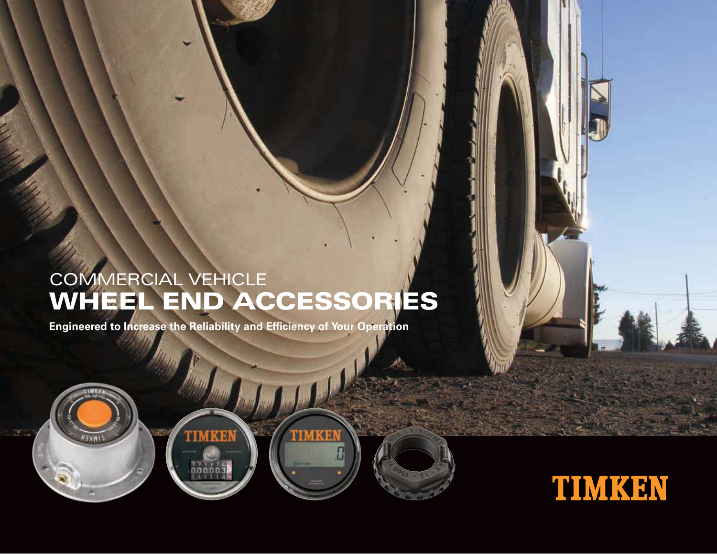# WHEEL END ACCESSORIES COMMERCIAL VEHICLE

TIMKEN

**Engineered to Increase the Reliability and Efficiency of Your Operation**

TIMKEN

ononc

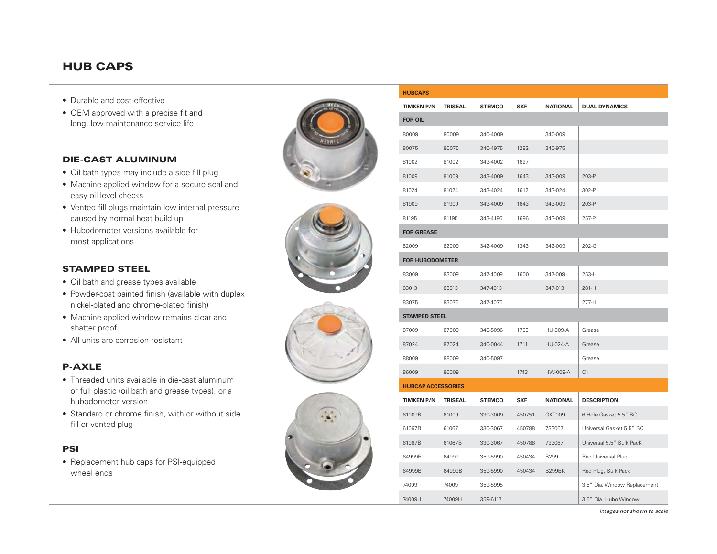# HUB CAPS

- Durable and cost-effective
- OEM approved with a precise fit and long, low maintenance service life

#### DIE-CAST ALUMINUM

- Oil bath types may include a side fill plug
- Machine-applied window for a secure seal and easy oil level checks
- Vented fill plugs maintain low internal pressure caused by normal heat build up
- Hubodometer versions available for most applications

#### STAMPED STEEL

- Oil bath and grease types available
- Powder-coat painted finish (available with duplex nickel-plated and chrome-plated finish)
- Machine-applied window remains clear and shatter proof
- All units are corrosion-resistant

#### P-AXLE

- Threaded units available in die-cast aluminum or full plastic (oil bath and grease types), or a hubodometer version
- Standard or chrome finish, with or without side fill or vented plug

#### PSI

• Replacement hub caps for PSI-equipped wheel ends









| <b>HUBCAPS</b>            |                |               |            |                 |                              |
|---------------------------|----------------|---------------|------------|-----------------|------------------------------|
| <b>TIMKEN P/N</b>         | <b>TRISEAL</b> | <b>STEMCO</b> | <b>SKF</b> | <b>NATIONAL</b> | <b>DUAL DYNAMICS</b>         |
| <b>FOR OIL</b>            |                |               |            |                 |                              |
| 80009                     | 80009          | 340-4009      |            | 340-009         |                              |
| 80075                     | 80075          | 340-4975      | 1282       | 340-975         |                              |
| 81002                     | 81002          | 343-4002      | 1627       |                 |                              |
| 81009                     | 81009          | 343-4009      | 1643       | 343-009         | 203-P                        |
| 81024                     | 81024          | 343-4024      | 1612       | 343-024         | 302-P                        |
| 81909                     | 81909          | 343-4009      | 1643       | 343-009         | 203-P                        |
| 81195                     | 81195          | 343-4195      | 1696       | 343-009         | 257-P                        |
| <b>FOR GREASE</b>         |                |               |            |                 |                              |
| 82009                     | 82009          | 342-4009      | 1343       | 342-009         | 202-G                        |
| <b>FOR HUBODOMETER</b>    |                |               |            |                 |                              |
| 83009                     | 83009          | 347-4009      | 1600       | 347-009         | 253-H                        |
| 83013                     | 83013          | 347-4013      |            | 347-013         | 281-H                        |
| 83075                     | 83075          | 347-4075      |            |                 | 277-H                        |
| <b>STAMPED STEEL</b>      |                |               |            |                 |                              |
| 87009                     | 87009          | 340-5096      | 1753       | <b>HU-009-A</b> | Grease                       |
| 87024                     | 87024          | 340-0044      | 1711       | <b>HU-024-A</b> | Grease                       |
| 88009                     | 88009          | 340-5097      |            |                 | Grease                       |
| 86009                     | 86009          |               | 1743       | <b>HW-009-A</b> | Oil                          |
| <b>HUBCAP ACCESSORIES</b> |                |               |            |                 |                              |
| <b>TIMKEN P/N</b>         | <b>TRISEAL</b> | <b>STEMCO</b> | <b>SKF</b> | <b>NATIONAL</b> | <b>DESCRIPTION</b>           |
| 61009R                    | 61009          | 330-3009      | 450751     | GKT009          | 6 Hole Gasket 5.5" BC        |
| 61067R                    | 61067          | 330-3067      | 450788     | 733067          | Universal Gasket 5.5" BC     |
| 61067B                    | 61067B         | 330-3067      | 450788     | 733067          | Universal 5.5" Bulk PacK     |
| 64999R                    | 64999          | 359-5990      | 450434     | B299            | Red Universal Plug           |
| 64999B                    | 64999B         | 359-5990      | 450434     | <b>B299BK</b>   | Red Plug, Bulk Pack          |
| 74009                     | 74009          | 359-5995      |            |                 | 3.5" Dia. Window Replacement |
| 74009H                    | 74009H         | 359-6117      |            |                 | 3.5" Dia. Hubo Window        |

images not shown to scale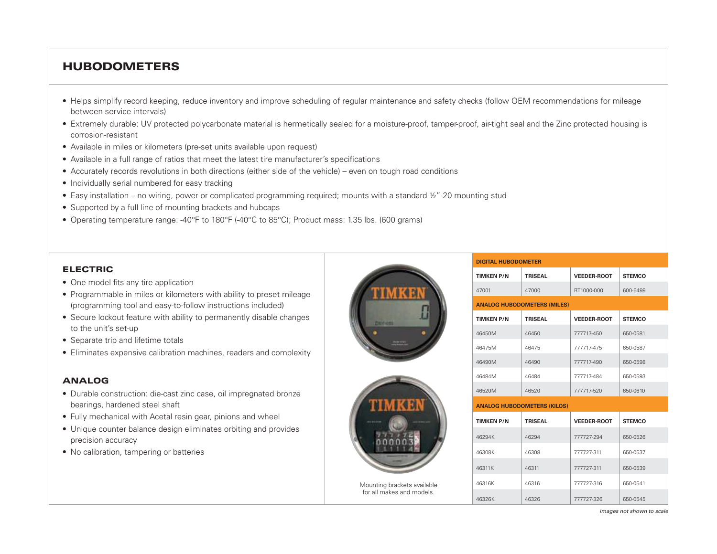# HUBODOMETERS

- Helps simplify record keeping, reduce inventory and improve scheduling of regular maintenance and safety checks (follow OEM recommendations for mileage between service intervals)
- Extremely durable: UV protected polycarbonate material is hermetically sealed for a moisture-proof, tamper-proof, air-tight seal and the Zinc protected housing is corrosion-resistant
- Available in miles or kilometers (pre-set units available upon request)
- Available in a full range of ratios that meet the latest tire manufacturer's specifications
- Accurately records revolutions in both directions (either side of the vehicle) even on tough road conditions
- Individually serial numbered for easy tracking
- Easy installation no wiring, power or complicated programming required; mounts with a standard ½"-20 mounting stud
- Supported by a full line of mounting brackets and hubcaps
- Operating temperature range: -40°F to 180°F (-40°C to 85°C); Product mass: 1.35 lbs. (600 grams)

#### ELECTRIC

- One model fits any tire application
- Programmable in miles or kilometers with ability to preset mileage (programming tool and easy-to-follow instructions included)
- Secure lockout feature with ability to permanently disable changes to the unit's set-up
- Separate trip and lifetime totals
- Eliminates expensive calibration machines, readers and complexity

#### ANALOG

- Durable construction: die-cast zinc case, oil impregnated bronze bearings, hardened steel shaft
- Fully mechanical with Acetal resin gear, pinions and wheel
- Unique counter balance design eliminates orbiting and provides precision accuracy
- No calibration, tampering or batteries





| Mounting brackets available |  |  |  |  |
|-----------------------------|--|--|--|--|
| for all makes and models.   |  |  |  |  |

| <b>DIGITAL HUBODOMETER</b>         |                |                    |               |  |
|------------------------------------|----------------|--------------------|---------------|--|
| <b>TIMKEN P/N</b>                  | <b>TRISFAL</b> | <b>VEEDER-ROOT</b> | <b>STEMCO</b> |  |
| 47001                              | 47000          | RT1000-000         | 600-5499      |  |
| <b>ANALOG HUBODOMETERS (MILES)</b> |                |                    |               |  |
| <b>TIMKEN P/N</b>                  | <b>TRISEAL</b> | <b>VEEDER-ROOT</b> | <b>STEMCO</b> |  |
| 46450M                             | 46450          | 777717-450         | 650-0581      |  |
| 46475M                             | 46475          | 777717-475         | 650-0587      |  |
| 46490M                             | 46490          | 777717-490         | 650-0598      |  |
| 46484M                             | 46484          | 777717-484         | 650-0593      |  |
| 46520M                             | 46520          | 777717-520         | 650-0610      |  |
| <b>ANALOG HUBODOMETERS (KILOS)</b> |                |                    |               |  |
| <b>TIMKEN P/N</b>                  | <b>TRISEAL</b> | <b>VEEDER-ROOT</b> | <b>STEMCO</b> |  |
| 46294K                             | 46294          | 777727-294         | 650-0526      |  |
| 46308K                             | 46308          | 777727-311         | 650-0537      |  |
| 46311K                             | 46311          | 777727-311         | 650-0539      |  |
| 46316K                             | 46316          | 777727-316         | 650-0541      |  |
| 46326K                             | 46326          | 777727-326         | 650-0545      |  |